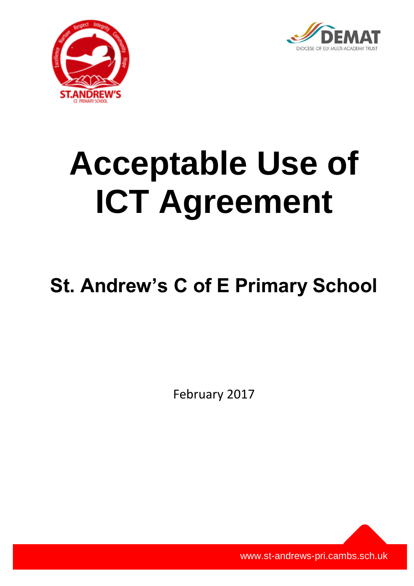



# **Acceptable Use of ICT Agreement**

# **St. Andrew's C of E Primary School**

February 2017

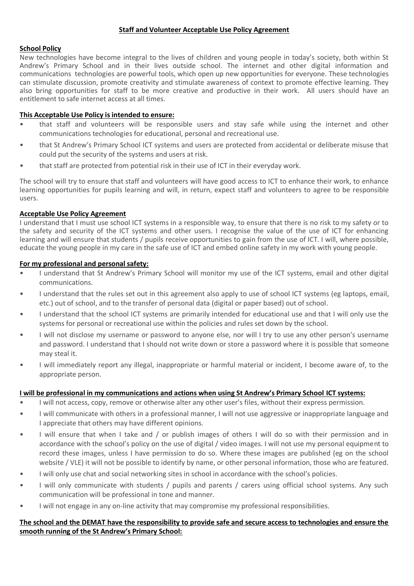#### **Staff and Volunteer Acceptable Use Policy Agreement**

#### **School Policy**

New technologies have become integral to the lives of children and young people in today's society, both within St Andrew's Primary School and in their lives outside school. The internet and other digital information and communications technologies are powerful tools, which open up new opportunities for everyone. These technologies can stimulate discussion, promote creativity and stimulate awareness of context to promote effective learning. They also bring opportunities for staff to be more creative and productive in their work. All users should have an entitlement to safe internet access at all times.

#### **This Acceptable Use Policy is intended to ensure:**

- that staff and volunteers will be responsible users and stay safe while using the internet and other communications technologies for educational, personal and recreational use.
- that St Andrew's Primary School ICT systems and users are protected from accidental or deliberate misuse that could put the security of the systems and users at risk.
- that staff are protected from potential risk in their use of ICT in their everyday work.

The school will try to ensure that staff and volunteers will have good access to ICT to enhance their work, to enhance learning opportunities for pupils learning and will, in return, expect staff and volunteers to agree to be responsible users.

#### **Acceptable Use Policy Agreement**

I understand that I must use school ICT systems in a responsible way, to ensure that there is no risk to my safety or to the safety and security of the ICT systems and other users. I recognise the value of the use of ICT for enhancing learning and will ensure that students / pupils receive opportunities to gain from the use of ICT. I will, where possible, educate the young people in my care in the safe use of ICT and embed online safety in my work with young people.

#### **For my professional and personal safety:**

- I understand that St Andrew's Primary School will monitor my use of the ICT systems, email and other digital communications.
- I understand that the rules set out in this agreement also apply to use of school ICT systems (eg laptops, email, etc.) out of school, and to the transfer of personal data (digital or paper based) out of school.
- I understand that the school ICT systems are primarily intended for educational use and that I will only use the systems for personal or recreational use within the policies and rules set down by the school.
- I will not disclose my username or password to anyone else, nor will I try to use any other person's username and password. I understand that I should not write down or store a password where it is possible that someone may steal it.
- I will immediately report any illegal, inappropriate or harmful material or incident, I become aware of, to the appropriate person.

# **I will be professional in my communications and actions when using St Andrew's Primary School ICT systems:**

- I will not access, copy, remove or otherwise alter any other user's files, without their express permission.
- I will communicate with others in a professional manner, I will not use aggressive or inappropriate language and I appreciate that others may have different opinions.
- I will ensure that when I take and / or publish images of others I will do so with their permission and in accordance with the school's policy on the use of digital / video images. I will not use my personal equipment to record these images, unless I have permission to do so. Where these images are published (eg on the school website / VLE) it will not be possible to identify by name, or other personal information, those who are featured.
- I will only use chat and social networking sites in school in accordance with the school's policies.
- I will only communicate with students / pupils and parents / carers using official school systems. Any such communication will be professional in tone and manner.
- I will not engage in any on-line activity that may compromise my professional responsibilities.

# **The school and the DEMAT have the responsibility to provide safe and secure access to technologies and ensure the smooth running of the St Andrew's Primary School:**